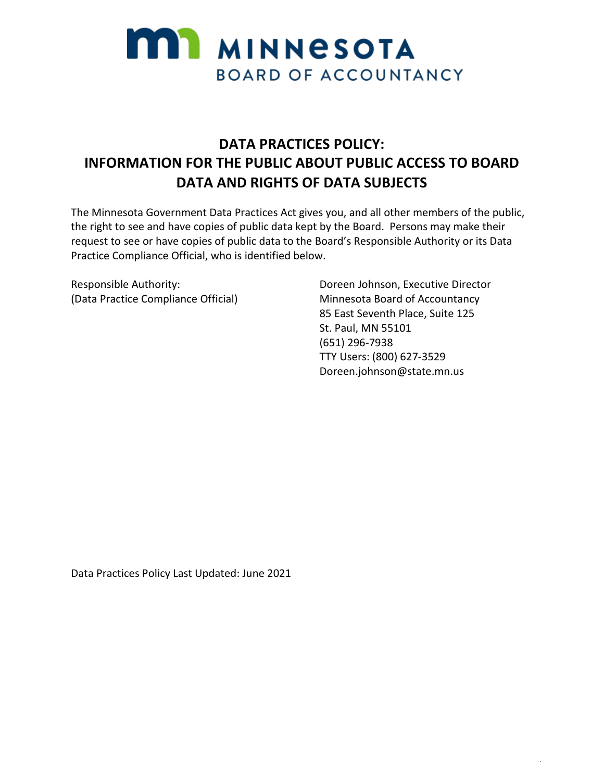

## **DATA PRACTICES POLICY: INFORMATION FOR THE PUBLIC ABOUT PUBLIC ACCESS TO BOARD DATA AND RIGHTS OF DATA SUBJECTS**

The Minnesota Government Data Practices Act gives you, and all other members of the public, the right to see and have copies of public data kept by the Board. Persons may make their request to see or have copies of public data to the Board's Responsible Authority or its Data Practice Compliance Official, who is identified below.

Responsible Authority: (Data Practice Compliance Official)

Doreen Johnson, Executive Director Minnesota Board of Accountancy 85 East Seventh Place, Suite 125 St. Paul, MN 55101 (651) 296-7938 TTY Users: (800) 627-3529 Doreen.johnson@state.mn.us

**.** 

Data Practices Policy Last Updated: June 2021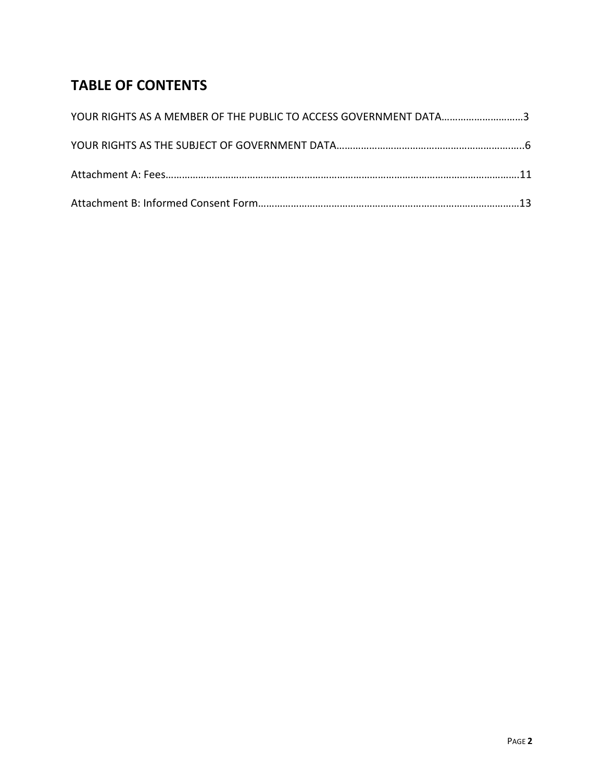# **TABLE OF CONTENTS**

| YOUR RIGHTS AS A MEMBER OF THE PUBLIC TO ACCESS GOVERNMENT DATA3 |  |
|------------------------------------------------------------------|--|
|                                                                  |  |
|                                                                  |  |
|                                                                  |  |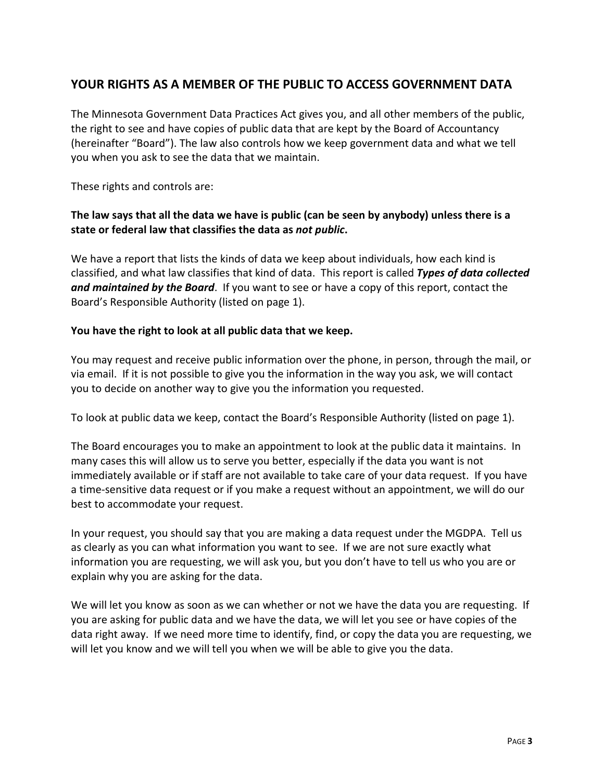## **YOUR RIGHTS AS A MEMBER OF THE PUBLIC TO ACCESS GOVERNMENT DATA**

The Minnesota Government Data Practices Act gives you, and all other members of the public, the right to see and have copies of public data that are kept by the Board of Accountancy (hereinafter "Board"). The law also controls how we keep government data and what we tell you when you ask to see the data that we maintain.

These rights and controls are:

#### **The law says that all the data we have is public (can be seen by anybody) unless there is a state or federal law that classifies the data as** *not public***.**

We have a report that lists the kinds of data we keep about individuals, how each kind is classified, and what law classifies that kind of data. This report is called *Types of data collected and maintained by the Board*. If you want to see or have a copy of this report, contact the Board's Responsible Authority (listed on page 1).

#### **You have the right to look at all public data that we keep.**

You may request and receive public information over the phone, in person, through the mail, or via email. If it is not possible to give you the information in the way you ask, we will contact you to decide on another way to give you the information you requested.

To look at public data we keep, contact the Board's Responsible Authority (listed on page 1).

The Board encourages you to make an appointment to look at the public data it maintains. In many cases this will allow us to serve you better, especially if the data you want is not immediately available or if staff are not available to take care of your data request. If you have a time-sensitive data request or if you make a request without an appointment, we will do our best to accommodate your request.

In your request, you should say that you are making a data request under the MGDPA. Tell us as clearly as you can what information you want to see. If we are not sure exactly what information you are requesting, we will ask you, but you don't have to tell us who you are or explain why you are asking for the data.

We will let you know as soon as we can whether or not we have the data you are requesting. If you are asking for public data and we have the data, we will let you see or have copies of the data right away. If we need more time to identify, find, or copy the data you are requesting, we will let you know and we will tell you when we will be able to give you the data.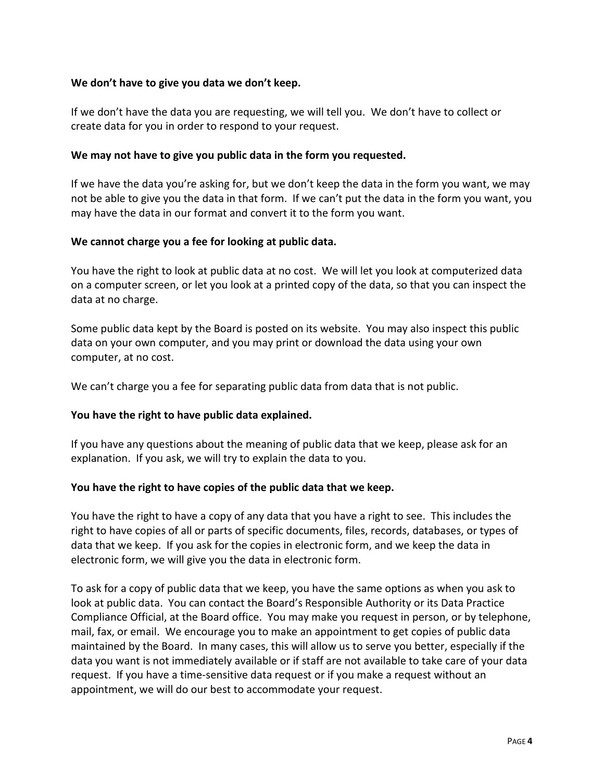#### **We don't have to give you data we don't keep.**

If we don't have the data you are requesting, we will tell you. We don't have to collect or create data for you in order to respond to your request.

#### **We may not have to give you public data in the form you requested.**

If we have the data you're asking for, but we don't keep the data in the form you want, we may not be able to give you the data in that form. If we can't put the data in the form you want, you may have the data in our format and convert it to the form you want.

#### **We cannot charge you a fee for looking at public data.**

You have the right to look at public data at no cost. We will let you look at computerized data on a computer screen, or let you look at a printed copy of the data, so that you can inspect the data at no charge.

Some public data kept by the Board is posted on its website. You may also inspect this public data on your own computer, and you may print or download the data using your own computer, at no cost.

We can't charge you a fee for separating public data from data that is not public.

#### **You have the right to have public data explained.**

If you have any questions about the meaning of public data that we keep, please ask for an explanation. If you ask, we will try to explain the data to you.

#### **You have the right to have copies of the public data that we keep.**

You have the right to have a copy of any data that you have a right to see. This includes the right to have copies of all or parts of specific documents, files, records, databases, or types of data that we keep. If you ask for the copies in electronic form, and we keep the data in electronic form, we will give you the data in electronic form.

To ask for a copy of public data that we keep, you have the same options as when you ask to look at public data. You can contact the Board's Responsible Authority or its Data Practice Compliance Official, at the Board office. You may make you request in person, or by telephone, mail, fax, or email. We encourage you to make an appointment to get copies of public data maintained by the Board. In many cases, this will allow us to serve you better, especially if the data you want is not immediately available or if staff are not available to take care of your data request. If you have a time-sensitive data request or if you make a request without an appointment, we will do our best to accommodate your request.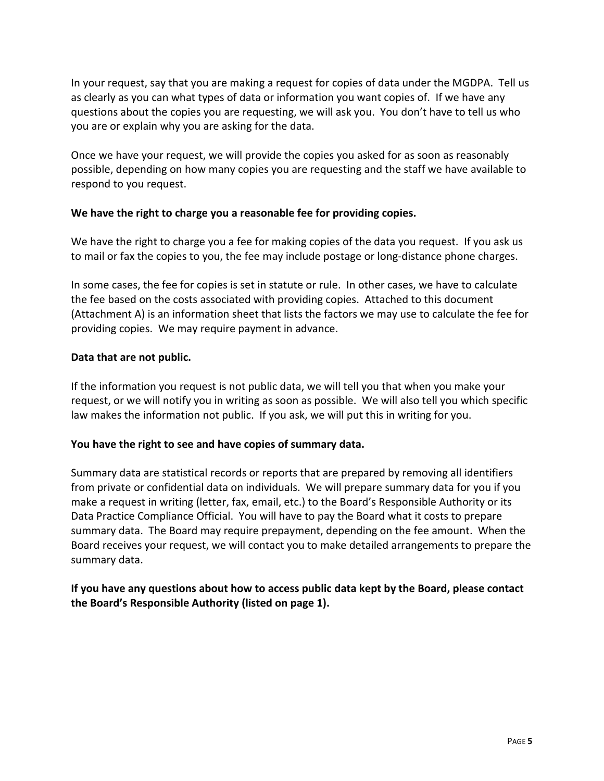In your request, say that you are making a request for copies of data under the MGDPA. Tell us as clearly as you can what types of data or information you want copies of. If we have any questions about the copies you are requesting, we will ask you. You don't have to tell us who you are or explain why you are asking for the data.

Once we have your request, we will provide the copies you asked for as soon as reasonably possible, depending on how many copies you are requesting and the staff we have available to respond to you request.

#### **We have the right to charge you a reasonable fee for providing copies.**

We have the right to charge you a fee for making copies of the data you request. If you ask us to mail or fax the copies to you, the fee may include postage or long-distance phone charges.

In some cases, the fee for copies is set in statute or rule. In other cases, we have to calculate the fee based on the costs associated with providing copies. Attached to this document (Attachment A) is an information sheet that lists the factors we may use to calculate the fee for providing copies. We may require payment in advance.

#### **Data that are not public.**

If the information you request is not public data, we will tell you that when you make your request, or we will notify you in writing as soon as possible. We will also tell you which specific law makes the information not public. If you ask, we will put this in writing for you.

#### **You have the right to see and have copies of summary data.**

Summary data are statistical records or reports that are prepared by removing all identifiers from private or confidential data on individuals. We will prepare summary data for you if you make a request in writing (letter, fax, email, etc.) to the Board's Responsible Authority or its Data Practice Compliance Official. You will have to pay the Board what it costs to prepare summary data. The Board may require prepayment, depending on the fee amount. When the Board receives your request, we will contact you to make detailed arrangements to prepare the summary data.

**If you have any questions about how to access public data kept by the Board, please contact the Board's Responsible Authority (listed on page 1).**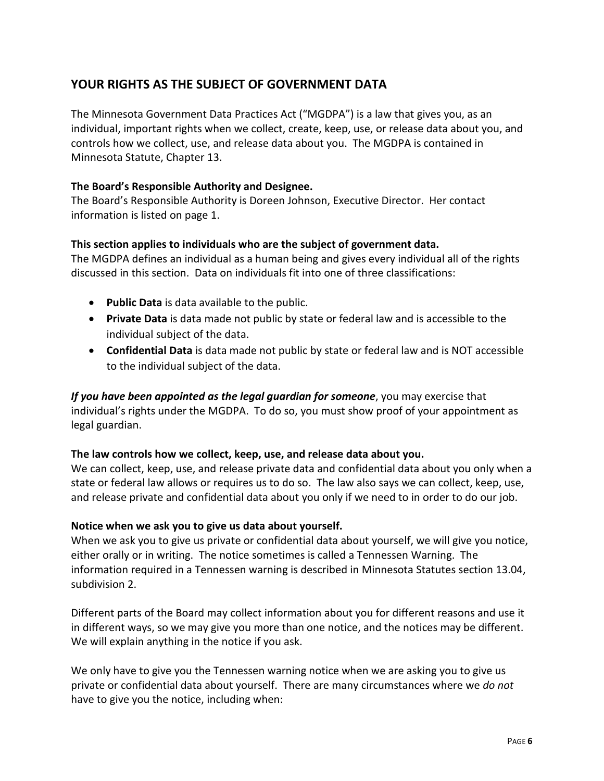## **YOUR RIGHTS AS THE SUBJECT OF GOVERNMENT DATA**

The Minnesota Government Data Practices Act ("MGDPA") is a law that gives you, as an individual, important rights when we collect, create, keep, use, or release data about you, and controls how we collect, use, and release data about you. The MGDPA is contained in Minnesota Statute, Chapter 13.

#### **The Board's Responsible Authority and Designee.**

The Board's Responsible Authority is Doreen Johnson, Executive Director. Her contact information is listed on page 1.

#### **This section applies to individuals who are the subject of government data.**

The MGDPA defines an individual as a human being and gives every individual all of the rights discussed in this section. Data on individuals fit into one of three classifications:

- **Public Data** is data available to the public.
- **Private Data** is data made not public by state or federal law and is accessible to the individual subject of the data.
- **Confidential Data** is data made not public by state or federal law and is NOT accessible to the individual subject of the data.

*If you have been appointed as the legal guardian for someone*, you may exercise that individual's rights under the MGDPA. To do so, you must show proof of your appointment as legal guardian.

#### **The law controls how we collect, keep, use, and release data about you.**

We can collect, keep, use, and release private data and confidential data about you only when a state or federal law allows or requires us to do so. The law also says we can collect, keep, use, and release private and confidential data about you only if we need to in order to do our job.

#### **Notice when we ask you to give us data about yourself.**

When we ask you to give us private or confidential data about yourself, we will give you notice, either orally or in writing. The notice sometimes is called a Tennessen Warning. The information required in a Tennessen warning is described in Minnesota Statutes section 13.04, subdivision 2.

Different parts of the Board may collect information about you for different reasons and use it in different ways, so we may give you more than one notice, and the notices may be different. We will explain anything in the notice if you ask.

We only have to give you the Tennessen warning notice when we are asking you to give us private or confidential data about yourself. There are many circumstances where we *do not* have to give you the notice, including when: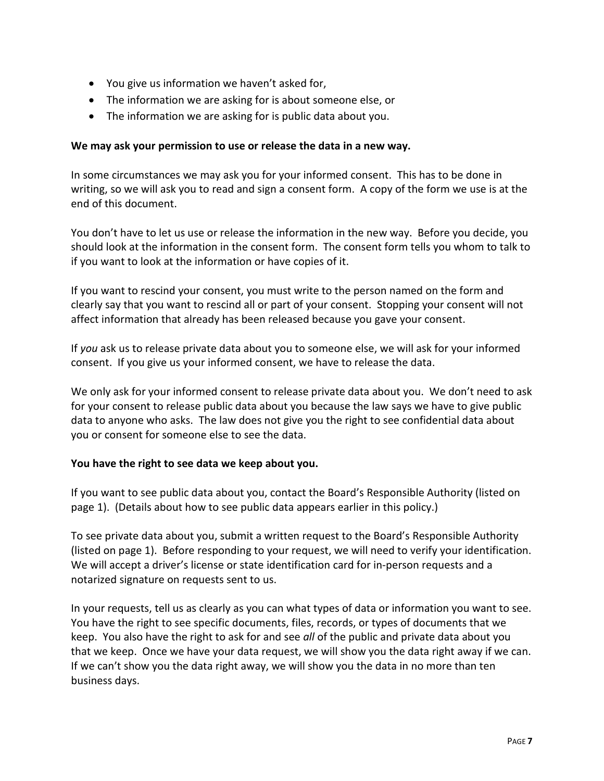- You give us information we haven't asked for,
- The information we are asking for is about someone else, or
- The information we are asking for is public data about you.

#### **We may ask your permission to use or release the data in a new way.**

In some circumstances we may ask you for your informed consent. This has to be done in writing, so we will ask you to read and sign a consent form. A copy of the form we use is at the end of this document.

You don't have to let us use or release the information in the new way. Before you decide, you should look at the information in the consent form. The consent form tells you whom to talk to if you want to look at the information or have copies of it.

If you want to rescind your consent, you must write to the person named on the form and clearly say that you want to rescind all or part of your consent. Stopping your consent will not affect information that already has been released because you gave your consent.

If *you* ask us to release private data about you to someone else, we will ask for your informed consent. If you give us your informed consent, we have to release the data.

We only ask for your informed consent to release private data about you. We don't need to ask for your consent to release public data about you because the law says we have to give public data to anyone who asks. The law does not give you the right to see confidential data about you or consent for someone else to see the data.

#### **You have the right to see data we keep about you.**

If you want to see public data about you, contact the Board's Responsible Authority (listed on page 1). (Details about how to see public data appears earlier in this policy.)

To see private data about you, submit a written request to the Board's Responsible Authority (listed on page 1). Before responding to your request, we will need to verify your identification. We will accept a driver's license or state identification card for in-person requests and a notarized signature on requests sent to us.

In your requests, tell us as clearly as you can what types of data or information you want to see. You have the right to see specific documents, files, records, or types of documents that we keep. You also have the right to ask for and see *all* of the public and private data about you that we keep. Once we have your data request, we will show you the data right away if we can. If we can't show you the data right away, we will show you the data in no more than ten business days.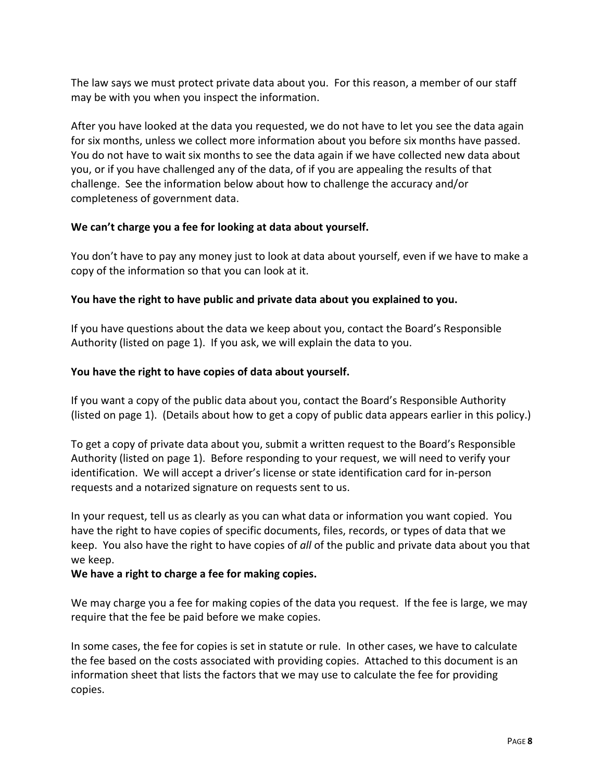The law says we must protect private data about you. For this reason, a member of our staff may be with you when you inspect the information.

After you have looked at the data you requested, we do not have to let you see the data again for six months, unless we collect more information about you before six months have passed. You do not have to wait six months to see the data again if we have collected new data about you, or if you have challenged any of the data, of if you are appealing the results of that challenge. See the information below about how to challenge the accuracy and/or completeness of government data.

#### **We can't charge you a fee for looking at data about yourself.**

You don't have to pay any money just to look at data about yourself, even if we have to make a copy of the information so that you can look at it.

#### **You have the right to have public and private data about you explained to you.**

If you have questions about the data we keep about you, contact the Board's Responsible Authority (listed on page 1). If you ask, we will explain the data to you.

#### **You have the right to have copies of data about yourself.**

If you want a copy of the public data about you, contact the Board's Responsible Authority (listed on page 1). (Details about how to get a copy of public data appears earlier in this policy.)

To get a copy of private data about you, submit a written request to the Board's Responsible Authority (listed on page 1). Before responding to your request, we will need to verify your identification. We will accept a driver's license or state identification card for in-person requests and a notarized signature on requests sent to us.

In your request, tell us as clearly as you can what data or information you want copied. You have the right to have copies of specific documents, files, records, or types of data that we keep. You also have the right to have copies of *all* of the public and private data about you that we keep.

#### **We have a right to charge a fee for making copies.**

We may charge you a fee for making copies of the data you request. If the fee is large, we may require that the fee be paid before we make copies.

In some cases, the fee for copies is set in statute or rule. In other cases, we have to calculate the fee based on the costs associated with providing copies. Attached to this document is an information sheet that lists the factors that we may use to calculate the fee for providing copies.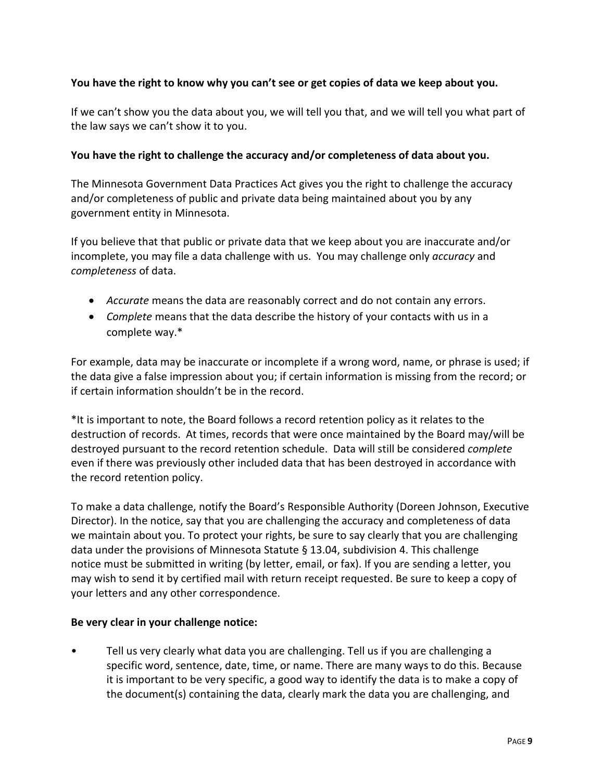#### **You have the right to know why you can't see or get copies of data we keep about you.**

If we can't show you the data about you, we will tell you that, and we will tell you what part of the law says we can't show it to you.

#### **You have the right to challenge the accuracy and/or completeness of data about you.**

The Minnesota Government Data Practices Act gives you the right to challenge the accuracy and/or completeness of public and private data being maintained about you by any government entity in Minnesota.

If you believe that that public or private data that we keep about you are inaccurate and/or incomplete, you may file a data challenge with us. You may challenge only *accuracy* and *completeness* of data.

- *Accurate* means the data are reasonably correct and do not contain any errors.
- *Complete* means that the data describe the history of your contacts with us in a complete way.\*

For example, data may be inaccurate or incomplete if a wrong word, name, or phrase is used; if the data give a false impression about you; if certain information is missing from the record; or if certain information shouldn't be in the record.

\*It is important to note, the Board follows a record retention policy as it relates to the destruction of records. At times, records that were once maintained by the Board may/will be destroyed pursuant to the record retention schedule. Data will still be considered *complete* even if there was previously other included data that has been destroyed in accordance with the record retention policy.

To make a data challenge, notify the Board's Responsible Authority (Doreen Johnson, Executive Director). In the notice, say that you are challenging the accuracy and completeness of data we maintain about you. To protect your rights, be sure to say clearly that you are challenging data under the provisions of Minnesota Statute § 13.04, subdivision 4. This challenge notice must be submitted in writing (by letter, email, or fax). If you are sending a letter, you may wish to send it by certified mail with return receipt requested. Be sure to keep a copy of your letters and any other correspondence.

#### **Be very clear in your challenge notice:**

• Tell us very clearly what data you are challenging. Tell us if you are challenging a specific word, sentence, date, time, or name. There are many ways to do this. Because it is important to be very specific, a good way to identify the data is to make a copy of the document(s) containing the data, clearly mark the data you are challenging, and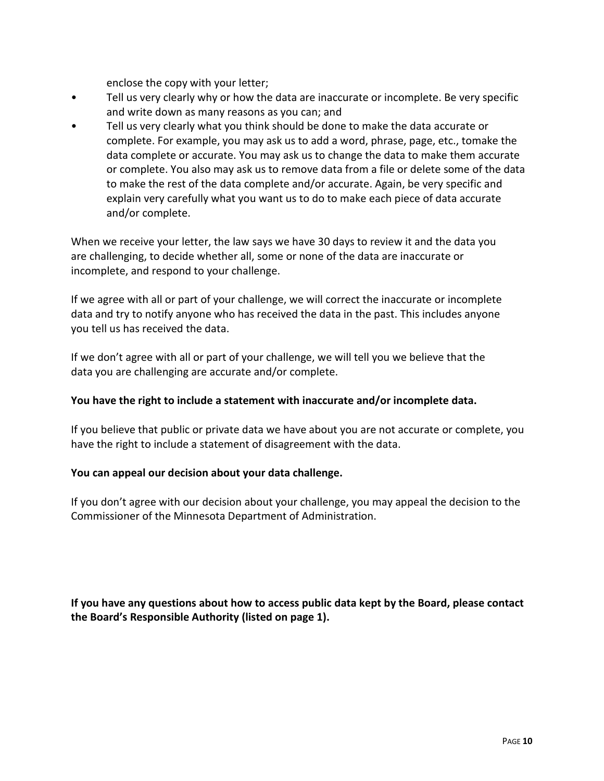enclose the copy with your letter;

- Tell us very clearly why or how the data are inaccurate or incomplete. Be very specific and write down as many reasons as you can; and
- Tell us very clearly what you think should be done to make the data accurate or complete. For example, you may ask us to add a word, phrase, page, etc., tomake the data complete or accurate. You may ask us to change the data to make them accurate or complete. You also may ask us to remove data from a file or delete some of the data to make the rest of the data complete and/or accurate. Again, be very specific and explain very carefully what you want us to do to make each piece of data accurate and/or complete.

When we receive your letter, the law says we have 30 days to review it and the data you are challenging, to decide whether all, some or none of the data are inaccurate or incomplete, and respond to your challenge.

If we agree with all or part of your challenge, we will correct the inaccurate or incomplete data and try to notify anyone who has received the data in the past. This includes anyone you tell us has received the data.

If we don't agree with all or part of your challenge, we will tell you we believe that the data you are challenging are accurate and/or complete.

#### **You have the right to include a statement with inaccurate and/or incomplete data.**

If you believe that public or private data we have about you are not accurate or complete, you have the right to include a statement of disagreement with the data.

#### **You can appeal our decision about your data challenge.**

If you don't agree with our decision about your challenge, you may appeal the decision to the Commissioner of the Minnesota Department of Administration.

**If you have any questions about how to access public data kept by the Board, please contact the Board's Responsible Authority (listed on page 1).**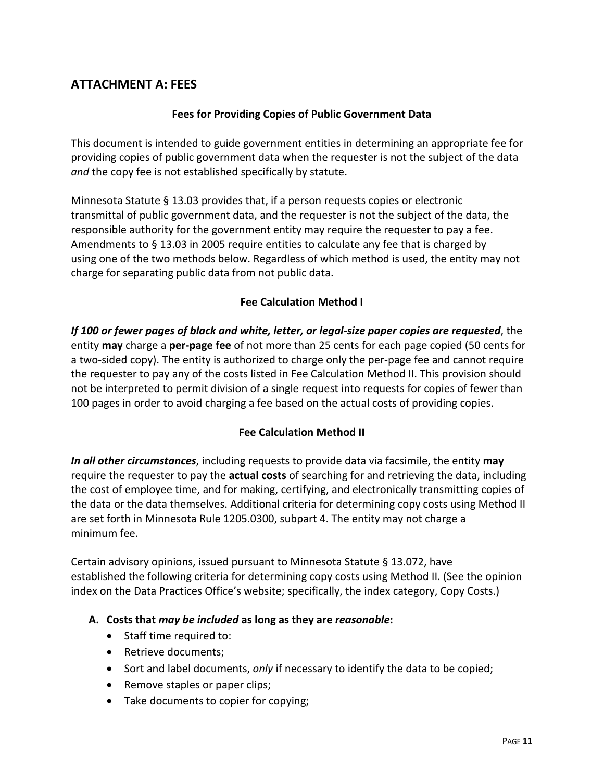## **ATTACHMENT A: FEES**

#### **Fees for Providing Copies of Public Government Data**

This document is intended to guide government entities in determining an appropriate fee for providing copies of public government data when the requester is not the subject of the data *and* the copy fee is not established specifically by statute.

Minnesota Statute § 13.03 provides that, if a person requests copies or electronic transmittal of public government data, and the requester is not the subject of the data, the responsible authority for the government entity may require the requester to pay a fee. Amendments to § 13.03 in 2005 require entities to calculate any fee that is charged by using one of the two methods below. Regardless of which method is used, the entity may not charge for separating public data from not public data.

#### **Fee Calculation Method I**

*If 100 or fewer pages of black and white, letter, or legal-size paper copies are requested*, the entity **may** charge a **per-page fee** of not more than 25 cents for each page copied (50 cents for a two-sided copy). The entity is authorized to charge only the per-page fee and cannot require the requester to pay any of the costs listed in Fee Calculation Method II. This provision should not be interpreted to permit division of a single request into requests for copies of fewer than 100 pages in order to avoid charging a fee based on the actual costs of providing copies.

#### **Fee Calculation Method II**

*In all other circumstances*, including requests to provide data via facsimile, the entity **may** require the requester to pay the **actual costs** of searching for and retrieving the data, including the cost of employee time, and for making, certifying, and electronically transmitting copies of the data or the data themselves. Additional criteria for determining copy costs using Method II are set forth in Minnesota Rule 1205.0300, subpart 4. The entity may not charge a minimum fee.

Certain advisory opinions, issued pursuant to Minnesota Statute § 13.072, have established the following criteria for determining copy costs using Method II. (See the opinion index on the Data Practices Office's website; specifically, the index category, Copy Costs.)

#### **A. Costs that** *may be included* **as long as they are** *reasonable***:**

- Staff time required to:
- Retrieve documents;
- Sort and label documents, *only* if necessary to identify the data to be copied;
- Remove staples or paper clips;
- Take documents to copier for copying;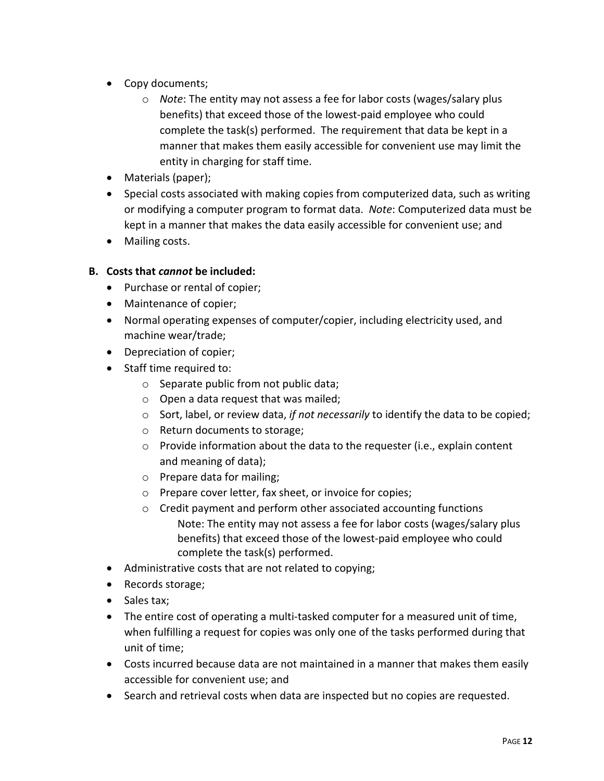- Copy documents;
	- o *Note*: The entity may not assess a fee for labor costs (wages/salary plus benefits) that exceed those of the lowest-paid employee who could complete the task(s) performed. The requirement that data be kept in a manner that makes them easily accessible for convenient use may limit the entity in charging for staff time.
- Materials (paper);
- Special costs associated with making copies from computerized data, such as writing or modifying a computer program to format data. *Note*: Computerized data must be kept in a manner that makes the data easily accessible for convenient use; and
- Mailing costs.

#### **B. Costs that** *cannot* **be included:**

- Purchase or rental of copier;
- Maintenance of copier;
- Normal operating expenses of computer/copier, including electricity used, and machine wear/trade;
- Depreciation of copier;
- Staff time required to:
	- o Separate public from not public data;
	- o Open a data request that was mailed;
	- o Sort, label, or review data, *if not necessarily* to identify the data to be copied;
	- o Return documents to storage;
	- o Provide information about the data to the requester (i.e., explain content and meaning of data);
	- o Prepare data for mailing;
	- o Prepare cover letter, fax sheet, or invoice for copies;
	- o Credit payment and perform other associated accounting functions Note: The entity may not assess a fee for labor costs (wages/salary plus benefits) that exceed those of the lowest-paid employee who could complete the task(s) performed.
- Administrative costs that are not related to copying;
- Records storage;
- Sales tax;
- The entire cost of operating a multi-tasked computer for a measured unit of time, when fulfilling a request for copies was only one of the tasks performed during that unit of time;
- Costs incurred because data are not maintained in a manner that makes them easily accessible for convenient use; and
- Search and retrieval costs when data are inspected but no copies are requested.